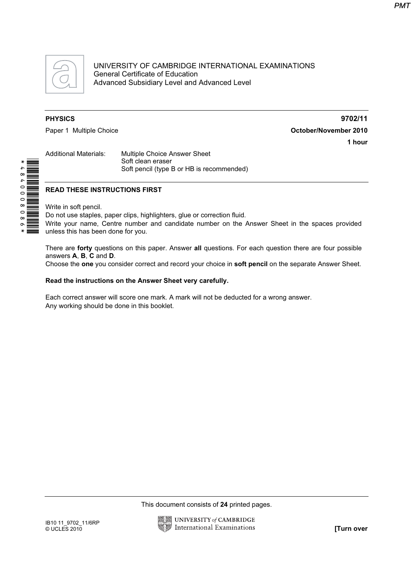

UNIVERSITY OF CAMBRIDGE INTERNATIONAL EXAMINATIONS General Certificate of Education Advanced Subsidiary Level and Advanced Level

PHYSICS 9702/11 Paper 1 Multiple Choice **Capacital Strutter and Contact Contact Contact Contact Contact Contact Contact Contact Contact Contact Contact Contact Contact Contact Contact Contact Contact Contact Contact Contact Contact Contac** 1 hour

Additional Materials: Multiple Choice Answer Sheet Soft clean eraser Soft pencil (type B or HB is recommended)

#### READ THESE INSTRUCTIONS FIRST

Write in soft pencil.

Do not use staples, paper clips, highlighters, glue or correction fluid.

Write your name, Centre number and candidate number on the Answer Sheet in the spaces provided unless this has been done for you.

There are forty questions on this paper. Answer all questions. For each question there are four possible answers A, B, C and D.

Choose the one you consider correct and record your choice in soft pencil on the separate Answer Sheet.

#### Read the instructions on the Answer Sheet very carefully.

Each correct answer will score one mark. A mark will not be deducted for a wrong answer. Any working should be done in this booklet.

This document consists of 24 printed pages.



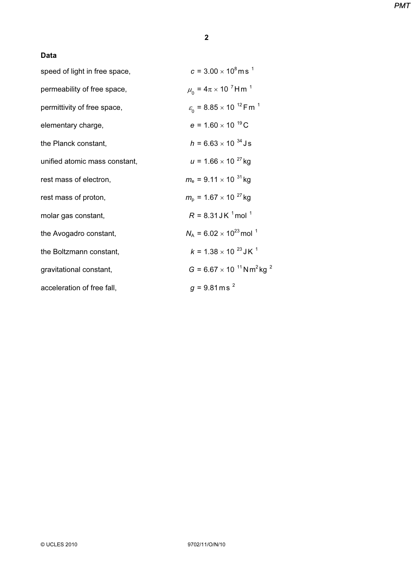## Data

| speed of light in free space, | $c = 3.00 \times 10^8$ m s <sup>1</sup>                                |
|-------------------------------|------------------------------------------------------------------------|
| permeability of free space,   | $\mu_0 = 4\pi \times 10^{-7}$ Hm <sup>1</sup>                          |
| permittivity of free space,   | $\varepsilon$ <sub>0</sub> = 8.85 × 10 <sup>-12</sup> Fm <sup>-1</sup> |
| elementary charge,            | $e = 1.60 \times 10^{-19}$ C                                           |
| the Planck constant,          | $h = 6.63 \times 10^{-34}$ Js                                          |
| unified atomic mass constant, | $u = 1.66 \times 10^{-27}$ kg                                          |
| rest mass of electron,        | $m_e$ = 9.11 $\times$ 10 <sup>31</sup> kg                              |
| rest mass of proton,          | $m_{\rm o}$ = 1.67 $\times$ 10 <sup>27</sup> kg                        |
| molar gas constant,           | $R = 8.31$ J K $^{1}$ mol $^{1}$                                       |
| the Avogadro constant,        | $N_A = 6.02 \times 10^{23}$ mol <sup>1</sup>                           |
| the Boltzmann constant,       | $k = 1.38 \times 10^{-23}$ J K <sup>1</sup>                            |
| gravitational constant,       | $G = 6.67 \times 10^{-11}$ N m <sup>2</sup> kg <sup>2</sup>            |
| acceleration of free fall,    | $g = 9.81$ m s <sup>2</sup>                                            |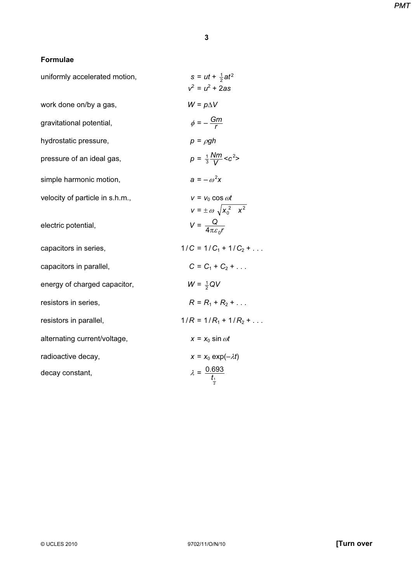## Formulae

| uniformly accelerated motion,   | $s = ut + \frac{1}{2}at^2$<br>$v^2 = u^2 + 2as$                |
|---------------------------------|----------------------------------------------------------------|
| work done on/by a gas,          | $W = p\Delta V$                                                |
| gravitational potential,        | $\phi = -\frac{Gm}{r}$                                         |
| hydrostatic pressure,           | $p = \rho gh$                                                  |
| pressure of an ideal gas,       | $p = \frac{1}{3} \frac{Nm}{V} < c^2$                           |
| simple harmonic motion,         | $a = -\omega^2 x$                                              |
| velocity of particle in s.h.m., | $v = v_0 \cos \omega t$<br>$v = \pm \omega \sqrt{x_0^2 - x^2}$ |
| electric potential,             | $V = \frac{Q}{4\pi \epsilon r}$                                |
| capacitors in series,           | $1/C = 1/C_1 + 1/C_2 + $                                       |
| capacitors in parallel,         | $C = C_1 + C_2 + $                                             |
| energy of charged capacitor,    | $W = \frac{1}{2}QV$                                            |
| resistors in series,            | $R = R_1 + R_2 + $                                             |
| resistors in parallel,          | $1/R = 1/R_1 + 1/R_2 + $                                       |
| alternating current/voltage,    | $x = x_0 \sin \omega t$                                        |
| radioactive decay,              | $x = x_0 \exp(-\lambda t)$                                     |
| decay constant,                 | $\lambda = \frac{0.693}{t_1}$                                  |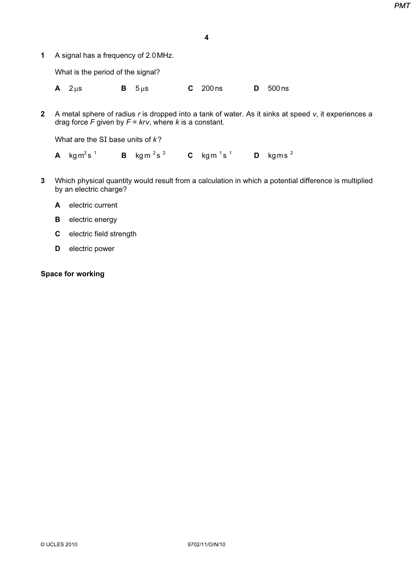- 4
- 1 A signal has a frequency of 2.0MHz.

What is the period of the signal?

A 2μs **B** 5μs **C** 200 ns **D** 500 ns

2 A metal sphere of radius  $r$  is dropped into a tank of water. As it sinks at speed  $v$ , it experiences a drag force F given by  $F = krv$ , where k is a constant.

What are the SI base units of  $k$ ?

**A** kgm<sup>2</sup>s<sup>1</sup> **B** kgm<sup>2</sup>s<sup>2</sup> **C** kgm<sup>1</sup>s<sup>1</sup> **D** kgms<sup>2</sup>

- 3 Which physical quantity would result from a calculation in which a potential difference is multiplied by an electric charge?
	- A electric current
	- **B** electric energy
	- C electric field strength
	- D electric power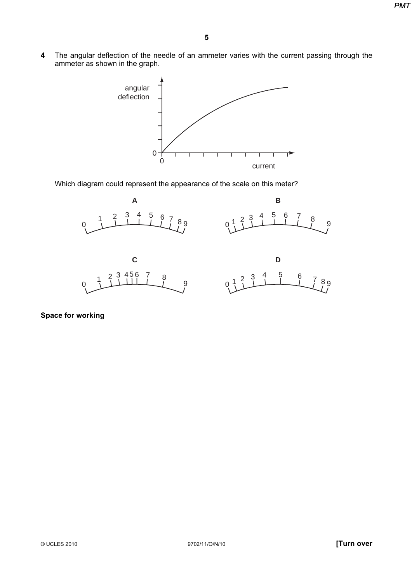4 The angular deflection of the needle of an ammeter varies with the current passing through the ammeter as shown in the graph.



Which diagram could represent the appearance of the scale on this meter?

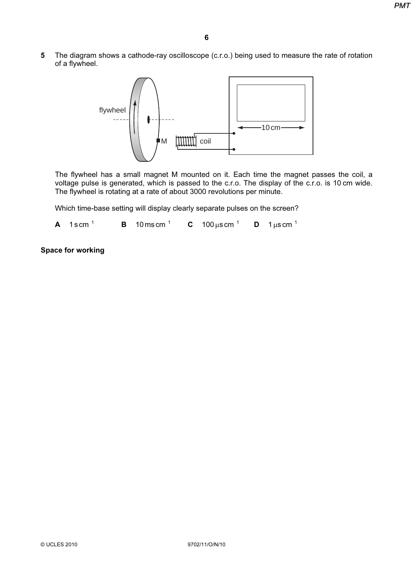5 The diagram shows a cathode-ray oscilloscope (c.r.o.) being used to measure the rate of rotation of a flywheel.



The flywheel has a small magnet M mounted on it. Each time the magnet passes the coil, a voltage pulse is generated, which is passed to the c.r.o. The display of the c.r.o. is 10 cm wide. The flywheel is rotating at a rate of about 3000 revolutions per minute.

Which time-base setting will display clearly separate pulses on the screen?

**A** 1scm<sup>1</sup> **B** 10 mscm<sup>1</sup> **C** 100  $\mu$ scm<sup>1</sup> **D** 1 $\mu$ scm<sup>1</sup>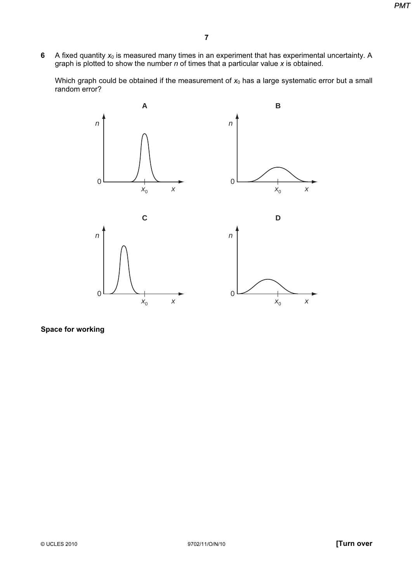6 A fixed quantity  $x_0$  is measured many times in an experiment that has experimental uncertainty. A graph is plotted to show the number  $n$  of times that a particular value x is obtained.

Which graph could be obtained if the measurement of  $x_0$  has a large systematic error but a small random error?

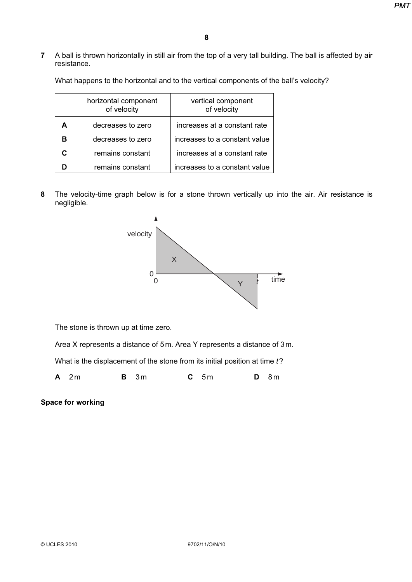7 A ball is thrown horizontally in still air from the top of a very tall building. The ball is affected by air resistance.

What happens to the horizontal and to the vertical components of the ball's velocity?

| horizontal component<br>of velocity | vertical component<br>of velocity |
|-------------------------------------|-----------------------------------|
| decreases to zero                   | increases at a constant rate      |
| decreases to zero                   | increases to a constant value     |
| remains constant                    | increases at a constant rate      |
| remains constant                    | increases to a constant value     |

8 The velocity-time graph below is for a stone thrown vertically up into the air. Air resistance is negligible.



The stone is thrown up at time zero.

Area X represents a distance of 5m. Area Y represents a distance of 3m.

What is the displacement of the stone from its initial position at time t?

**A** 2m **B** 3m **C** 5m **D** 8m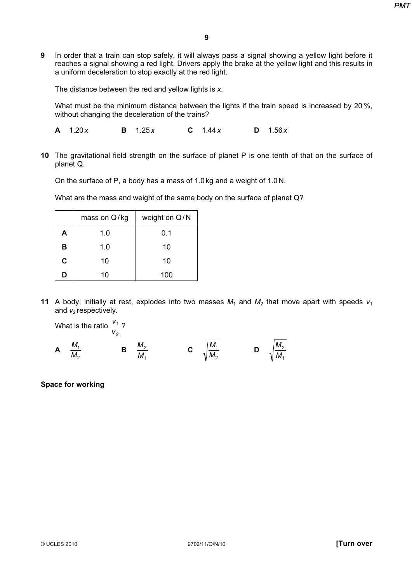9 In order that a train can stop safely, it will always pass a signal showing a yellow light before it reaches a signal showing a red light. Drivers apply the brake at the yellow light and this results in a uniform deceleration to stop exactly at the red light.

The distance between the red and yellow lights is x.

What must be the minimum distance between the lights if the train speed is increased by 20 %, without changing the deceleration of the trains?

**A** 1.20 x **B** 1.25 x **C** 1.44 x **D** 1.56 x

10 The gravitational field strength on the surface of planet P is one tenth of that on the surface of planet Q.

On the surface of P, a body has a mass of 1.0 kg and a weight of 1.0 N.

What are the mass and weight of the same body on the surface of planet Q?

|             | mass on Q/kg | weight on Q/N |
|-------------|--------------|---------------|
| A           | 1.0          | 0.1           |
| в           | 1.0          | 10            |
| $\mathbf c$ | 10           | 10            |
| D           | 10           | 100           |

11 A body, initially at rest, explodes into two masses  $M_1$  and  $M_2$  that move apart with speeds  $v_1$ and  $v_2$  respectively.

What is the ratio 2 1  $\frac{V_1}{V_2}$ ?

A 2  $\frac{m_1}{M_2}$  $\frac{M_1}{M}$  B 1 2  $\frac{M_2}{M_1}$  **C**  $\sqrt{\frac{M_1}{M_2}}$  $\frac{M_1}{M_2}$  D 1 2  $\overline{\overline{\mathsf{M}}}$ M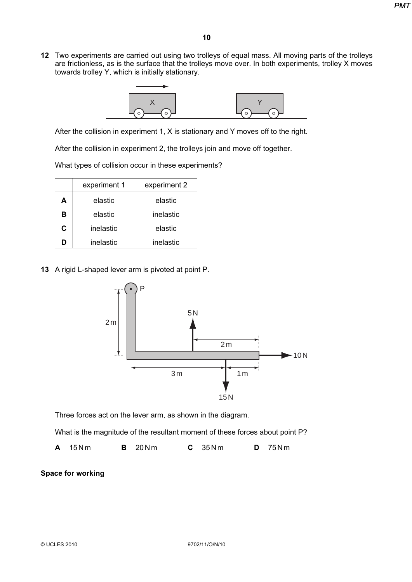12 Two experiments are carried out using two trolleys of equal mass. All moving parts of the trolleys are frictionless, as is the surface that the trolleys move over. In both experiments, trolley X moves towards trolley Y, which is initially stationary.



After the collision in experiment 1, X is stationary and Y moves off to the right.

After the collision in experiment 2, the trolleys join and move off together.

What types of collision occur in these experiments?

|   | experiment 1 | experiment 2 |
|---|--------------|--------------|
| A | elastic      | elastic      |
| В | elastic      | inelastic    |
| C | inelastic    | elastic      |
| n | inelastic    | inelastic    |

13 A rigid L-shaped lever arm is pivoted at point P.



Three forces act on the lever arm, as shown in the diagram.

What is the magnitude of the resultant moment of these forces about point P?

**A** 15Nm **B** 20Nm **C** 35Nm **D** 75Nm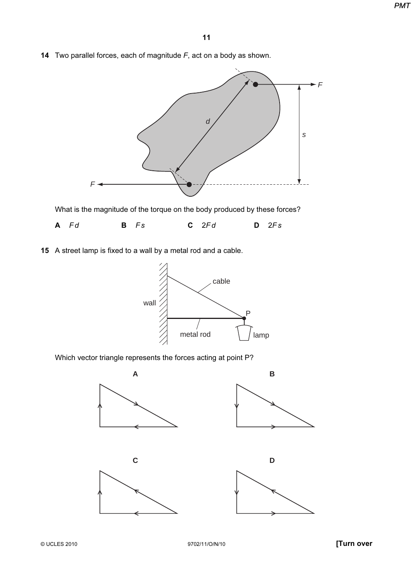14 Two parallel forces, each of magnitude  $F$ , act on a body as shown.



What is the magnitude of the torque on the body produced by these forces?



15 A street lamp is fixed to a wall by a metal rod and a cable.



Which vector triangle represents the forces acting at point P?

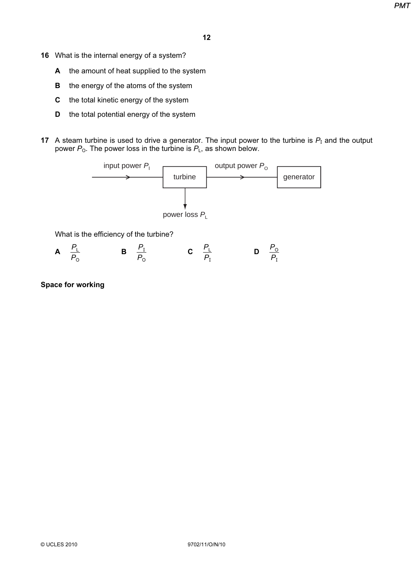- 16 What is the internal energy of a system?
	- A the amount of heat supplied to the system
	- **B** the energy of the atoms of the system
	- C the total kinetic energy of the system
	- **D** the total potential energy of the system
- 17 A steam turbine is used to drive a generator. The input power to the turbine is  $P<sub>I</sub>$  and the output power  $P_0$ . The power loss in the turbine is  $P_L$ , as shown below.



What is the efficiency of the turbine?

A O L  $\frac{P_{\perp}}{P_{\sim}}$  B  $P_{\rm o}$  $\frac{P_1}{P_2}$  C  $P_{I}$  $\frac{P_{\perp}}{P_{\perp}}$  D  $P_{I}$  $P_{\rm O}$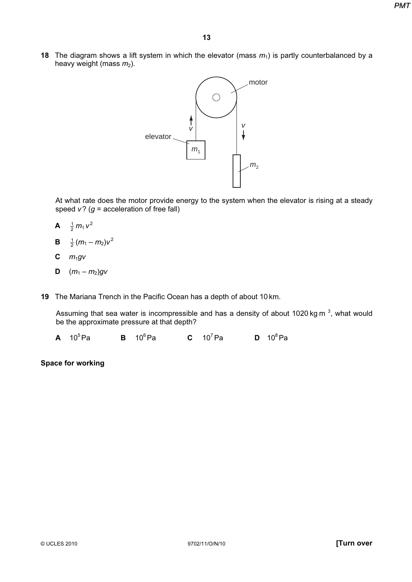18 The diagram shows a lift system in which the elevator (mass  $m_1$ ) is partly counterbalanced by a heavy weight (mass  $m_2$ ).



At what rate does the motor provide energy to the system when the elevator is rising at a steady speed  $v$ ? ( $g$  = acceleration of free fall)

- **A**  $\frac{1}{2}m_1v^2$
- **B**  $\frac{1}{2}(m_1 m_2)v^2$
- **C**  $m_1gv$
- **D**  $(m_1 m_2)gv$
- 19 The Mariana Trench in the Pacific Ocean has a depth of about 10 km.

Assuming that sea water is incompressible and has a density of about 1020 kg m<sup>3</sup>, what would be the approximate pressure at that depth?

**A**  $10^5$ Pa **B**  $10^6$ Pa **C**  $10^7$ Pa **D**  $10^8$ Pa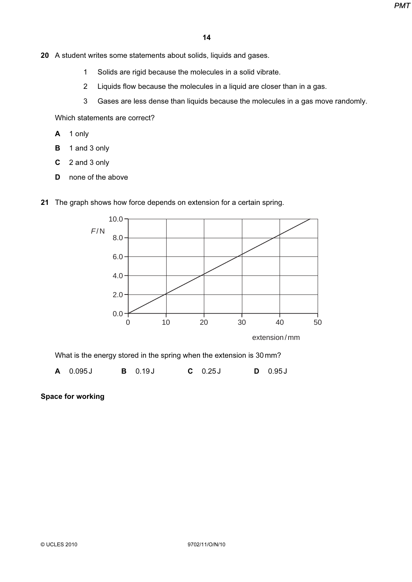- 20 A student writes some statements about solids, liquids and gases.
	- 1 Solids are rigid because the molecules in a solid vibrate.
	- 2 Liquids flow because the molecules in a liquid are closer than in a gas.
	- 3 Gases are less dense than liquids because the molecules in a gas move randomly.

Which statements are correct?

- A 1 only
- B 1 and 3 only
- C 2 and 3 only
- D none of the above
- 21 The graph shows how force depends on extension for a certain spring.



What is the energy stored in the spring when the extension is 30mm?

**A** 0.095J **B** 0.19J **C** 0.25J **D** 0.95J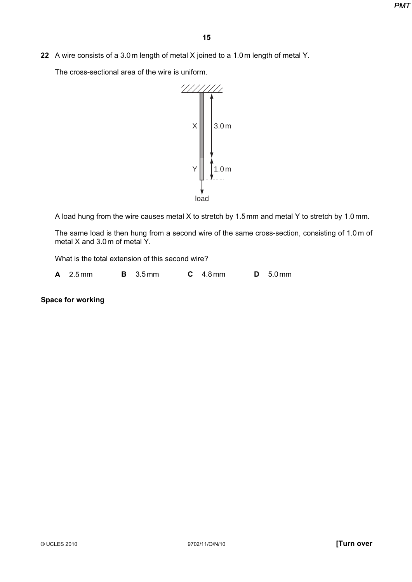22 A wire consists of a 3.0m length of metal X joined to a 1.0m length of metal Y.

The cross-sectional area of the wire is uniform.



A load hung from the wire causes metal X to stretch by 1.5mm and metal Y to stretch by 1.0 mm.

The same load is then hung from a second wire of the same cross-section, consisting of 1.0 m of metal X and 3.0m of metal Y.

What is the total extension of this second wire?

A 2.5 mm B 3.5 mm C 4.8 mm D 5.0 mm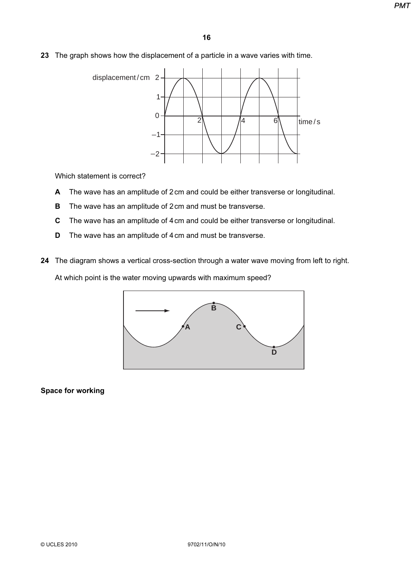23 The graph shows how the displacement of a particle in a wave varies with time.



Which statement is correct?

- A The wave has an amplitude of 2cm and could be either transverse or longitudinal.
- **B** The wave has an amplitude of 2 cm and must be transverse.
- C The wave has an amplitude of 4cm and could be either transverse or longitudinal.
- D The wave has an amplitude of 4cm and must be transverse.
- 24 The diagram shows a vertical cross-section through a water wave moving from left to right.

At which point is the water moving upwards with maximum speed?

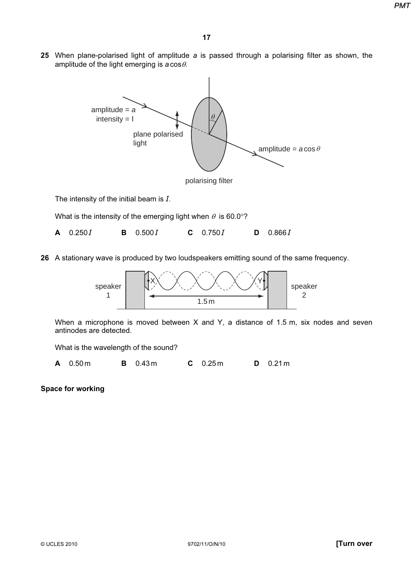25 When plane-polarised light of amplitude a is passed through a polarising filter as shown, the amplitude of the light emerging is  $a \cos \theta$ .



26 A stationary wave is produced by two loudspeakers emitting sound of the same frequency.



When a microphone is moved between X and Y, a distance of 1.5 m, six nodes and seven antinodes are detected.

What is the wavelength of the sound?

A 0.50m B 0.43m C 0.25m D 0.21m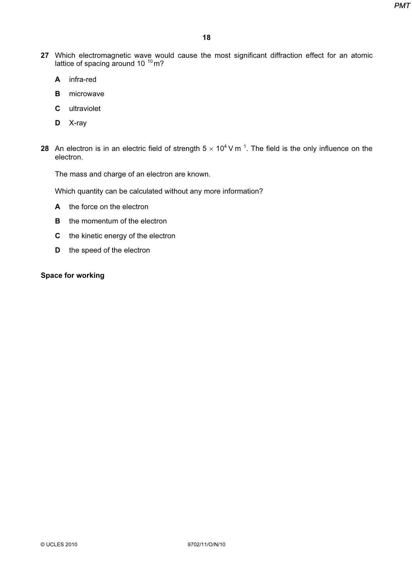- 27 Which electromagnetic wave would cause the most significant diffraction effect for an atomic lattice of spacing around 10  $^{10}$  m?
	- A infra-red
	- **B** microwave
	- C ultraviolet
	- D X-ray
- 28 An electron is in an electric field of strength 5  $\times$  10<sup>4</sup> V m<sup>-1</sup>. The field is the only influence on the electron.

The mass and charge of an electron are known.

Which quantity can be calculated without any more information?

- A the force on the electron
- **B** the momentum of the electron
- C the kinetic energy of the electron
- **D** the speed of the electron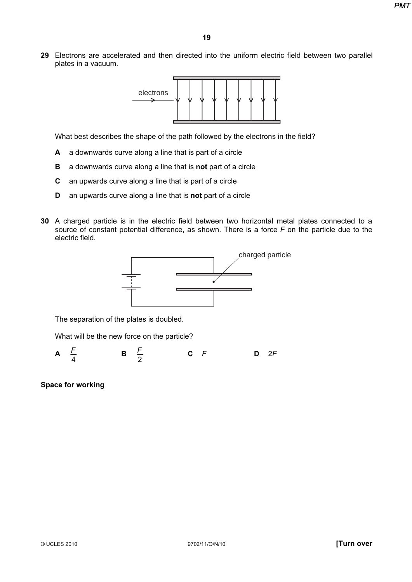29 Electrons are accelerated and then directed into the uniform electric field between two parallel plates in a vacuum.



What best describes the shape of the path followed by the electrons in the field?

- A a downwards curve along a line that is part of a circle
- **B** a downwards curve along a line that is **not** part of a circle
- C an upwards curve along a line that is part of a circle
- D an upwards curve along a line that is not part of a circle
- 30 A charged particle is in the electric field between two horizontal metal plates connected to a source of constant potential difference, as shown. There is a force  $F$  on the particle due to the electric field.



The separation of the plates is doubled.

What will be the new force on the particle?

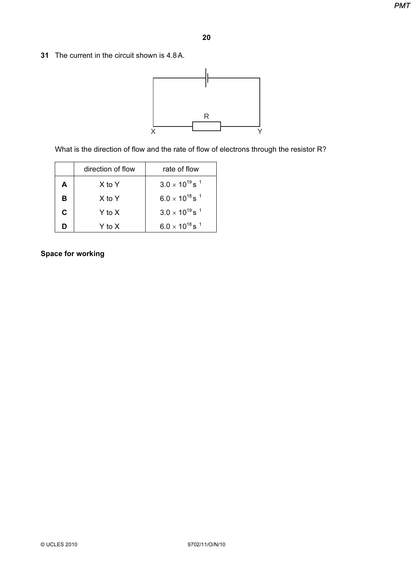31 The current in the circuit shown is 4.8A.



What is the direction of flow and the rate of flow of electrons through the resistor R?

|   | direction of flow | rate of flow                        |
|---|-------------------|-------------------------------------|
| A | X to Y            | $3.0 \times 10^{19}$ s <sup>1</sup> |
| в | X to Y            | $6.0 \times 10^{18}$ s <sup>1</sup> |
| C | Y to X            | $3.0 \times 10^{19}$ s <sup>1</sup> |
| n | Y to X            | $6.0 \times 10^{18}$ s <sup>1</sup> |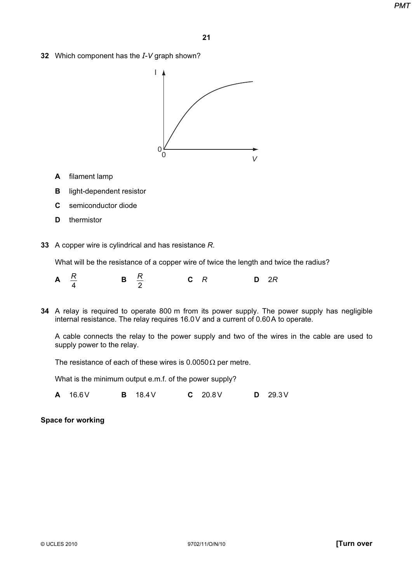32 Which component has the  $I-V$  graph shown?



- A filament lamp
- B light-dependent resistor
- C semiconductor diode
- D thermistor
- 33 A copper wire is cylindrical and has resistance R.

What will be the resistance of a copper wire of twice the length and twice the radius?



34 A relay is required to operate 800 m from its power supply. The power supply has negligible internal resistance. The relay requires 16.0V and a current of 0.60A to operate.

A cable connects the relay to the power supply and two of the wires in the cable are used to supply power to the relay.

The resistance of each of these wires is  $0.0050 \Omega$  per metre.

What is the minimum output e.m.f. of the power supply?

A 16.6V B 18.4V C 20.8V D 29.3V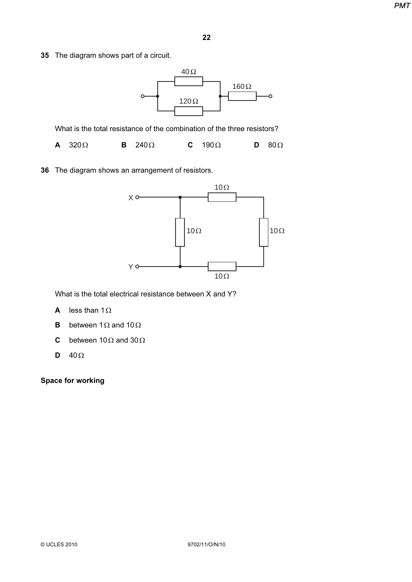35 The diagram shows part of a circuit.

40Ω 160Ω  $\ddot{\circ}$ 120Ω

What is the total resistance of the combination of the three resistors?

A 320Ω B 240Ω C 190Ω D 80Ω

36 The diagram shows an arrangement of resistors.



What is the total electrical resistance between X and Y?

- A less than 1Ω
- **B** between 1 $\Omega$  and 10 $\Omega$
- C between 10 $\Omega$  and 30 $\Omega$
- D  $40\Omega$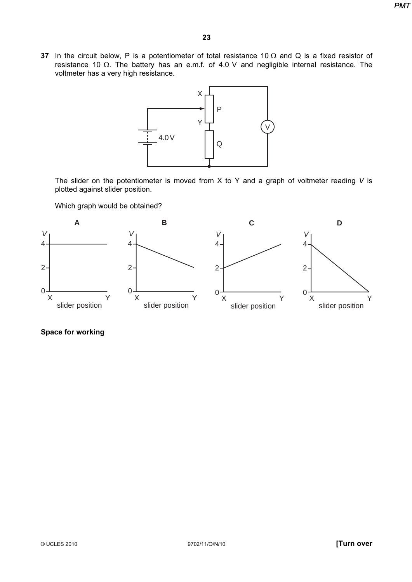37 In the circuit below, P is a potentiometer of total resistance 10  $\Omega$  and Q is a fixed resistor of resistance 10 Ω. The battery has an e.m.f. of 4.0 V and negligible internal resistance. The voltmeter has a very high resistance.



The slider on the potentiometer is moved from  $X$  to  $Y$  and a graph of voltmeter reading  $V$  is plotted against slider position.